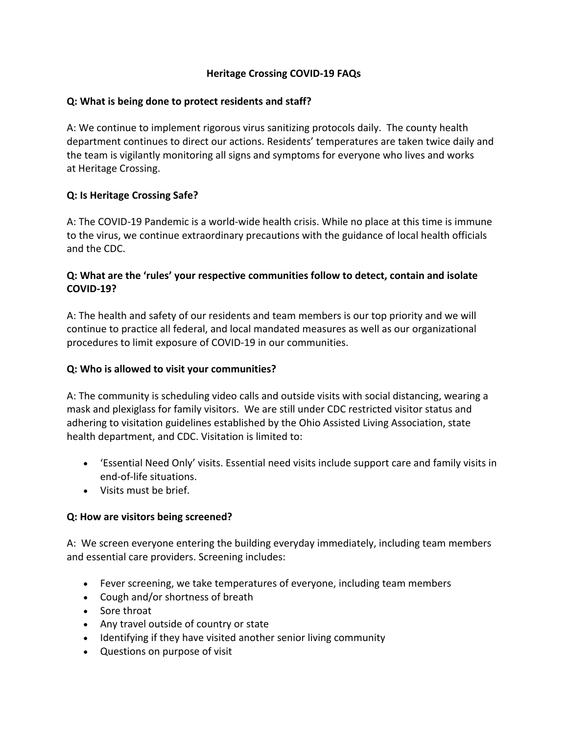# **Heritage Crossing COVID-19 FAQs**

# **Q: What is being done to protect residents and staff?**

A: We continue to implement rigorous virus sanitizing protocols daily. The county health department continues to direct our actions. Residents' temperatures are taken twice daily and the team is vigilantly monitoring all signs and symptoms for everyone who lives and works at Heritage Crossing.

# **Q: Is Heritage Crossing Safe?**

A: The COVID-19 Pandemic is a world-wide health crisis. While no place at this time is immune to the virus, we continue extraordinary precautions with the guidance of local health officials and the CDC.

# **Q: What are the 'rules' your respective communities follow to detect, contain and isolate COVID-19?**

A: The health and safety of our residents and team members is our top priority and we will continue to practice all federal, and local mandated measures as well as our organizational procedures to limit exposure of COVID-19 in our communities.

#### **Q: Who is allowed to visit your communities?**

A: The community is scheduling video calls and outside visits with social distancing, wearing a mask and plexiglass for family visitors. We are still under CDC restricted visitor status and adhering to visitation guidelines established by the Ohio Assisted Living Association, state health department, and CDC. Visitation is limited to:

- 'Essential Need Only' visits. Essential need visits include support care and family visits in end-of-life situations.
- Visits must be brief.

#### **Q: How are visitors being screened?**

A: We screen everyone entering the building everyday immediately, including team members and essential care providers. Screening includes:

- Fever screening, we take temperatures of everyone, including team members
- Cough and/or shortness of breath
- Sore throat
- Any travel outside of country or state
- Identifying if they have visited another senior living community
- Questions on purpose of visit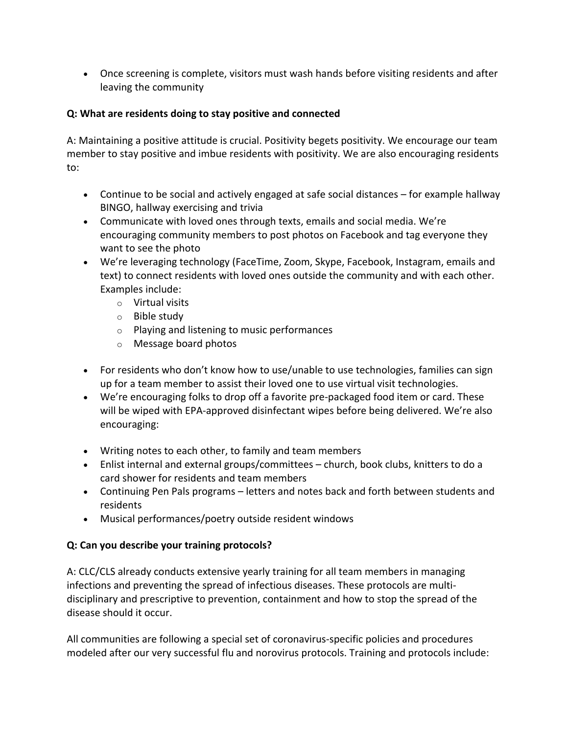• Once screening is complete, visitors must wash hands before visiting residents and after leaving the community

# **Q: What are residents doing to stay positive and connected**

A: Maintaining a positive attitude is crucial. Positivity begets positivity. We encourage our team member to stay positive and imbue residents with positivity. We are also encouraging residents to:

- Continue to be social and actively engaged at safe social distances for example hallway BINGO, hallway exercising and trivia
- Communicate with loved ones through texts, emails and social media. We're encouraging community members to post photos on Facebook and tag everyone they want to see the photo
- We're leveraging technology (FaceTime, Zoom, Skype, Facebook, Instagram, emails and text) to connect residents with loved ones outside the community and with each other. Examples include:
	- o Virtual visits
	- o Bible study
	- o Playing and listening to music performances
	- o Message board photos
- For residents who don't know how to use/unable to use technologies, families can sign up for a team member to assist their loved one to use virtual visit technologies.
- We're encouraging folks to drop off a favorite pre-packaged food item or card. These will be wiped with EPA-approved disinfectant wipes before being delivered. We're also encouraging:
- Writing notes to each other, to family and team members
- Enlist internal and external groups/committees church, book clubs, knitters to do a card shower for residents and team members
- Continuing Pen Pals programs letters and notes back and forth between students and residents
- Musical performances/poetry outside resident windows

# **Q: Can you describe your training protocols?**

A: CLC/CLS already conducts extensive yearly training for all team members in managing infections and preventing the spread of infectious diseases. These protocols are multidisciplinary and prescriptive to prevention, containment and how to stop the spread of the disease should it occur.

All communities are following a special set of coronavirus-specific policies and procedures modeled after our very successful flu and norovirus protocols. Training and protocols include: